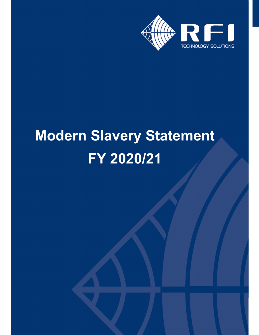

# **Modern Slavery Statement FY 2020/21**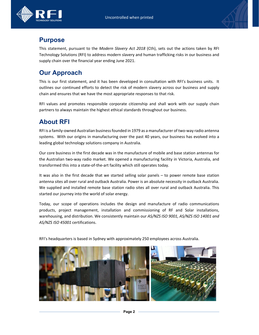



## **Purpose**

This statement, pursuant to the *Modern Slavery Act 2018* (Cth), sets out the actions taken by RFI Technology Solutions (RFI) to address modern slavery and human trafficking risks in our business and supply chain over the financial year ending June 2021.

## **Our Approach**

This is our first statement, and it has been developed in consultation with RFI's business units. It outlines our continued efforts to detect the risk of modern slavery across our business and supply chain and ensures that we have the most appropriate responses to that risk.

RFI values and promotes responsible corporate citizenship and shall work with our supply chain partners to always maintain the highest ethical standards throughout our business.

# **About RFI**

RFI is a family-owned Australian business founded in 1979 as a manufacturer of two-way radio antenna systems. With our origins in manufacturing over the past 40 years, our business has evolved into a leading global technology solutions company in Australia.

Our core business in the first decade was in the manufacture of mobile and base station antennas for the Australian two‐way radio market. We opened a manufacturing facility in Victoria, Australia, and transformed this into a state‐of‐the‐art facility which still operates today.

It was also in the first decade that we started selling solar panels – to power remote base station antenna sites all over rural and outback Australia. Power is an absolute necessity in outback Australia. We supplied and installed remote base station radio sites all over rural and outback Australia. This started our journey into the world of solar energy.

Today, our scope of operations includes the design and manufacture of radio communications products, project management, installation and commissioning of RF and Solar installations, warehousing, and distribution. We consistently maintain our *AS/NZS ISO 9001, AS/NZS ISO 14001 and AS/NZS ISO 45001* certifications.

RFI's headquarters is based in Sydney with approximately 250 employees across Australia.

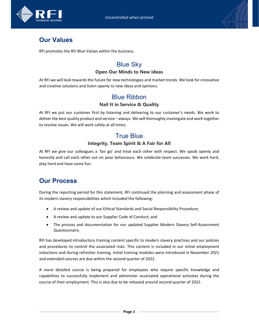

## **Our Values**

RFI promotes the RFI Blue Values within the business.

## Blue Sky

#### **Open Our Minds to New Ideas**

At RFI we will look towards the future for new technologies and market trends. We look for innovative and creative solutions and listen openly to new ideas and opinions.

### Blue Ribbon

#### **Nail It in Service & Quality**

At RFI we put our customer first by listening and delivering to our customer's needs. We work to deliver the best quality product and service – always. We will thoroughly investigate and work together to resolve issues. We will work safely at all times.

## True Blue

#### **Integrity, Team Spirit & A Fair for All**

At RFI we give our colleagues a 'fair go' and treat each other with respect. We speak openly and honestly and call each other out on poor behaviours. We celebrate team successes. We work hard, play hard and have some fun.

## **Our Process**

During the reporting period for this statement, RFI continued the planning and assessment phase of its modern slavery responsibilities which included the following:

- A review and update of our Ethical Standards and Social Responsibility Procedure;
- A review and update to our Supplier Code of Conduct; and
- The process and documentation for our updated Supplier Modern Slavery Self-Assessment Questionnaire.

RFI has developed introductory training content specific to modern slavery practices and our policies and procedures to control the associated risks. This content is included in our initial employment inductions and during refresher training. Initial training modules were introduced in November 2021 and extended courses are due within the second quarter of 2022.

A more detailed course is being prepared for employees who require specific knowledge and capabilities to successfully implement and administer associated operational activates during the course of their employment. This is also due to be released around second quarter of 2022.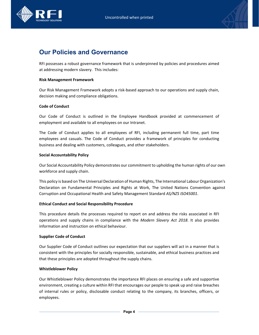



## **Our Policies and Governance**

RFI possesses a robust governance framework that is underpinned by policies and procedures aimed at addressing modern slavery. This includes:

#### **Risk Management Framework**

Our Risk Management Framework adopts a risk‐based approach to our operations and supply chain, decision making and compliance obligations.

#### **Code of Conduct**

Our Code of Conduct is outlined in the Employee Handbook provided at commencement of employment and available to all employees on our Intranet.

The Code of Conduct applies to all employees of RFI, including permanent full time, part time employees and casuals. The Code of Conduct provides a framework of principles for conducting business and dealing with customers, colleagues, and other stakeholders.

#### **Social Accountability Policy**

Our Social Accountability Policy demonstrates our commitment to upholding the human rights of our own workforce and supply chain.

This policy is based on The Universal Declaration of Human Rights, The International Labour Organization's Declaration on Fundamental Principles and Rights at Work, The United Nations Convention against Corruption and Occupational Health and Safety Management Standard *AS/NZS ISO45001*.

#### **Ethical Conduct and Social Responsibility Procedure**

This procedure details the processes required to report on and address the risks associated in RFI operations and supply chains in compliance with the *Modern Slavery Act 2018*. It also provides information and instruction on ethical behaviour.

#### **Supplier Code of Conduct**

Our Supplier Code of Conduct outlines our expectation that our suppliers will act in a manner that is consistent with the principles for socially responsible, sustainable, and ethical business practices and that these principles are adopted throughout the supply chains.

#### **Whistleblower Policy**

Our Whistleblower Policy demonstrates the importance RFI places on ensuring a safe and supportive environment, creating a culture within RFI that encourages our people to speak up and raise breaches of internal rules or policy, disclosable conduct relating to the company, its branches, officers, or employees.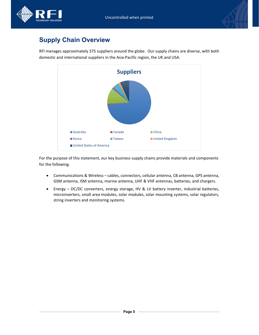



## **Supply Chain Overview**

RFI manages approximately 375 suppliers around the globe. Our supply chains are diverse, with both domestic and international suppliers in the Asia‐Pacific region, the UK and USA.



For the purpose of this statement, our key business supply chains provide materials and components for the following.

- Communications & Wireless cables, connectors, cellular antenna, CB antenna, GPS antenna, GSM antenna, ISM antenna, marine antenna, UHF & VHF antennas, batteries, and chargers.
- Energy DC/DC converters, energy storage, HV & LV battery inverter, industrial batteries, microinverters, small area modules, solar modules, solar mounting systems, solar regulators, string inverters and monitoring systems.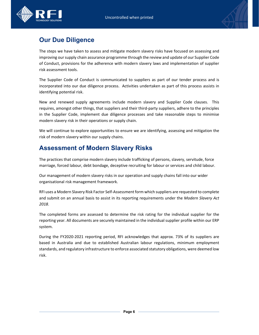



# **Our Due Diligence**

The steps we have taken to assess and mitigate modern slavery risks have focused on assessing and improving oursupply chain assurance programme through the review and update of our Supplier Code of Conduct, provisions for the adherence with modern slavery laws and implementation of supplier risk assessment tools.

The Supplier Code of Conduct is communicated to suppliers as part of our tender process and is incorporated into our due diligence process. Activities undertaken as part of this process assists in identifying potential risk.

New and renewed supply agreements include modern slavery and Supplier Code clauses. This requires, amongst other things, that suppliers and their third-party suppliers, adhere to the principles in the Supplier Code, implement due diligence processes and take reasonable steps to minimise modern slavery risk in their operations or supply chain.

We will continue to explore opportunities to ensure we are identifying, assessing and mitigation the risk of modern slavery within our supply chains.

## **Assessment of Modern Slavery Risks**

The practices that comprise modern slavery include trafficking of persons, slavery, servitude, force marriage, forced labour, debt bondage, deceptive recruiting for labour or services and child labour.

Our management of modern slavery risks in our operation and supply chains fall into our wider organisational risk management framework.

RFI uses a Modern Slavery Risk Factor Self-Assessment form which suppliers are requested to complete and submit on an annual basis to assist in its reporting requirements under the *Modern Slavery Act 2018*.

The completed forms are assessed to determine the risk rating for the individual supplier for the reporting year. All documents are securely maintained in the individual supplier profile within our ERP system.

During the FY2020‐2021 reporting period, RFI acknowledges that approx. 73% of its suppliers are based in Australia and due to established Australian labour regulations, minimum employment standards, and regulatory infrastructure to enforce associated statutory obligations, were deemed low risk.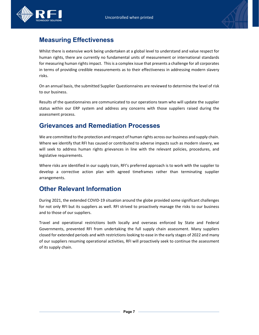



# **Measuring Effectiveness**

Whilst there is extensive work being undertaken at a global level to understand and value respect for human rights, there are currently no fundamental units of measurement or international standards for measuring human rights impact. This is a complex issue that presents a challenge for all corporates in terms of providing credible measurements as to their effectiveness in addressing modern slavery risks.

On an annual basis, the submitted Supplier Questionnaires are reviewed to determine the level of risk to our business.

Results of the questionnaires are communicated to our operations team who will update the supplier status within our ERP system and address any concerns with those suppliers raised during the assessment process.

## **Grievances and Remediation Processes**

We are committed to the protection and respect of human rights across our business and supply chain. Where we identify that RFI has caused or contributed to adverse impacts such as modern slavery, we will seek to address human rights grievances in line with the relevant policies, procedures, and legislative requirements.

Where risks are identified in our supply train, RFI's preferred approach is to work with the supplier to develop a corrective action plan with agreed timeframes rather than terminating supplier arrangements.

## **Other Relevant Information**

During 2021, the extended COVID‐19 situation around the globe provided some significant challenges for not only RFI but its suppliers as well. RFI strived to proactively manage the risks to our business and to those of our suppliers.

Travel and operational restrictions both locally and overseas enforced by State and Federal Governments, prevented RFI from undertaking the full supply chain assessment. Many suppliers closed for extended periods and with restrictions looking to ease in the early stages of 2022 and many of our suppliers resuming operational activities, RFI will proactively seek to continue the assessment of its supply chain.